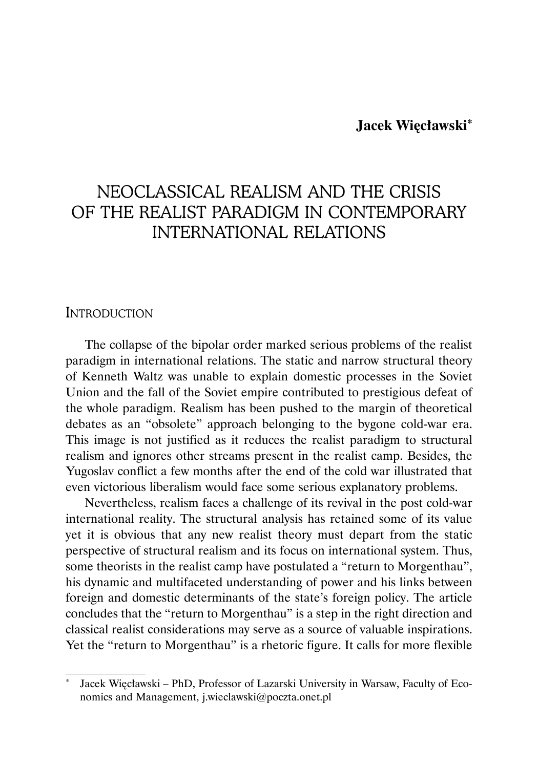### **Jacek Więcławski\***

# NEOCLASSICAL REALISM AND THE CRISIS OF THE REALIST PARADIGM IN CONTEMPORARY INTERNATIONAL RELATIONS

#### **INTRODUCTION**

The collapse of the bipolar order marked serious problems of the realist paradigm in international relations. The static and narrow structural theory of Kenneth Waltz was unable to explain domestic processes in the Soviet Union and the fall of the Soviet empire contributed to prestigious defeat of the whole paradigm. Realism has been pushed to the margin of theoretical debates as an "obsolete" approach belonging to the bygone cold-war era. This image is not justified as it reduces the realist paradigm to structural realism and ignores other streams present in the realist camp. Besides, the Yugoslav conflict a few months after the end of the cold war illustrated that even victorious liberalism would face some serious explanatory problems.

Nevertheless, realism faces a challenge of its revival in the post cold-war international reality. The structural analysis has retained some of its value yet it is obvious that any new realist theory must depart from the static perspective of structural realism and its focus on international system. Thus, some theorists in the realist camp have postulated a "return to Morgenthau", his dynamic and multifaceted understanding of power and his links between foreign and domestic determinants of the state's foreign policy. The article concludes that the "return to Morgenthau" is a step in the right direction and classical realist considerations may serve as a source of valuable inspirations. Yet the "return to Morgenthau" is a rhetoric figure. It calls for more flexible

Jacek Więcławski – PhD, Professor of Lazarski University in Warsaw, Faculty of Economics and Management, j.wieclawski@poczta.onet.pl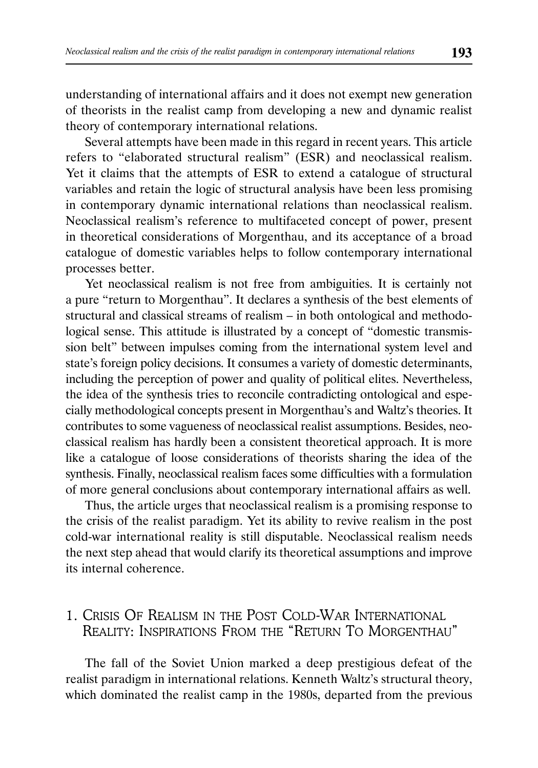understanding of international affairs and it does not exempt new generation of theorists in the realist camp from developing a new and dynamic realist theory of contemporary international relations.

Several attempts have been made in this regard in recent years. This article refers to "elaborated structural realism" (ESR) and neoclassical realism. Yet it claims that the attempts of ESR to extend a catalogue of structural variables and retain the logic of structural analysis have been less promising in contemporary dynamic international relations than neoclassical realism. Neoclassical realism's reference to multifaceted concept of power, present in theoretical considerations of Morgenthau, and its acceptance of a broad catalogue of domestic variables helps to follow contemporary international processes better.

Yet neoclassical realism is not free from ambiguities. It is certainly not a pure "return to Morgenthau". It declares a synthesis of the best elements of structural and classical streams of realism – in both ontological and methodological sense. This attitude is illustrated by a concept of "domestic transmission belt" between impulses coming from the international system level and state's foreign policy decisions. It consumes a variety of domestic determinants, including the perception of power and quality of political elites. Nevertheless, the idea of the synthesis tries to reconcile contradicting ontological and especially methodological concepts present in Morgenthau's and Waltz's theories. It contributes to some vagueness of neoclassical realist assumptions. Besides, neoclassical realism has hardly been a consistent theoretical approach. It is more like a catalogue of loose considerations of theorists sharing the idea of the synthesis. Finally, neoclassical realism faces some difficulties with a formulation of more general conclusions about contemporary international affairs as well.

Thus, the article urges that neoclassical realism is a promising response to the crisis of the realist paradigm. Yet its ability to revive realism in the post cold-war international reality is still disputable. Neoclassical realism needs the next step ahead that would clarify its theoretical assumptions and improve its internal coherence.

# 1. CRISIS OF REALISM IN THE POST COLD-WAR INTERNATIONAL REALITY: INSPIRATIONS FROM THE "RETURN TO MORGENTHAU"

The fall of the Soviet Union marked a deep prestigious defeat of the realist paradigm in international relations. Kenneth Waltz's structural theory, which dominated the realist camp in the 1980s, departed from the previous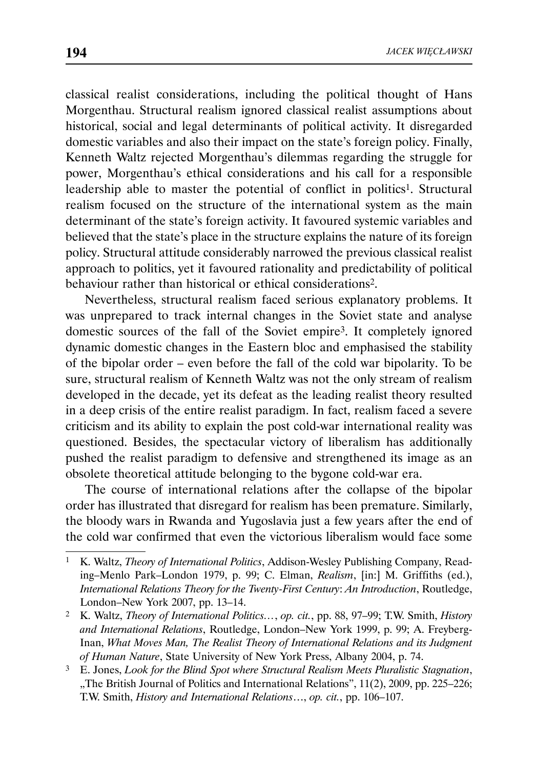classical realist considerations, including the political thought of Hans Morgenthau. Structural realism ignored classical realist assumptions about historical, social and legal determinants of political activity. It disregarded domestic variables and also their impact on the state's foreign policy. Finally, Kenneth Waltz rejected Morgenthau's dilemmas regarding the struggle for power, Morgenthau's ethical considerations and his call for a responsible leadership able to master the potential of conflict in politics<sup>1</sup>. Structural realism focused on the structure of the international system as the main determinant of the state's foreign activity. It favoured systemic variables and believed that the state's place in the structure explains the nature of its foreign policy. Structural attitude considerably narrowed the previous classical realist approach to politics, yet it favoured rationality and predictability of political behaviour rather than historical or ethical considerations2.

Nevertheless, structural realism faced serious explanatory problems. It was unprepared to track internal changes in the Soviet state and analyse domestic sources of the fall of the Soviet empire3. It completely ignored dynamic domestic changes in the Eastern bloc and emphasised the stability of the bipolar order – even before the fall of the cold war bipolarity. To be sure, structural realism of Kenneth Waltz was not the only stream of realism developed in the decade, yet its defeat as the leading realist theory resulted in a deep crisis of the entire realist paradigm. In fact, realism faced a severe criticism and its ability to explain the post cold-war international reality was questioned. Besides, the spectacular victory of liberalism has additionally pushed the realist paradigm to defensive and strengthened its image as an obsolete theoretical attitude belonging to the bygone cold-war era.

The course of international relations after the collapse of the bipolar order has illustrated that disregard for realism has been premature. Similarly, the bloody wars in Rwanda and Yugoslavia just a few years after the end of the cold war confirmed that even the victorious liberalism would face some

<sup>1</sup> K. Waltz, *Theory of International Politics*, Addison-Wesley Publishing Company, Reading–Menlo Park–London 1979, p. 99; C. Elman, *Realism*, [in:] M. Griffiths (ed.), *International Relations Theory for the Twenty-First Century*: *An Introduction*, Routledge, London–New York 2007, pp. 13–14.

<sup>2</sup> K. Waltz, *Theory of International Politics…*, *op. cit.*, pp. 88, 97–99; T.W. Smith, *History and International Relations*, Routledge, London–New York 1999, p. 99; A. Freyberg-Inan, *What Moves Man, The Realist Theory of International Relations and its Judgment of Human Nature*, State University of New York Press, Albany 2004, p. 74.

<sup>3</sup> E. Jones, *Look for the Blind Spot where Structural Realism Meets Pluralistic Stagnation*, "The British Journal of Politics and International Relations", 11(2), 2009, pp. 225-226; T.W. Smith, *History and International Relations*…, *op. cit.*, pp. 106–107.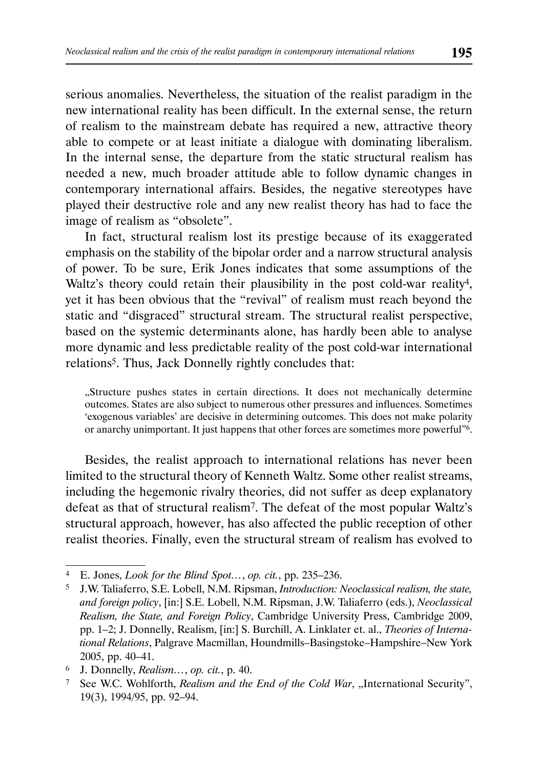serious anomalies. Nevertheless, the situation of the realist paradigm in the new international reality has been difficult. In the external sense, the return of realism to the mainstream debate has required a new, attractive theory able to compete or at least initiate a dialogue with dominating liberalism. In the internal sense, the departure from the static structural realism has needed a new, much broader attitude able to follow dynamic changes in contemporary international affairs. Besides, the negative stereotypes have played their destructive role and any new realist theory has had to face the image of realism as "obsolete".

In fact, structural realism lost its prestige because of its exaggerated emphasis on the stability of the bipolar order and a narrow structural analysis of power. To be sure, Erik Jones indicates that some assumptions of the Waltz's theory could retain their plausibility in the post cold-war reality<sup>4</sup>, yet it has been obvious that the "revival" of realism must reach beyond the static and "disgraced" structural stream. The structural realist perspective, based on the systemic determinants alone, has hardly been able to analyse more dynamic and less predictable reality of the post cold-war international relations5. Thus, Jack Donnelly rightly concludes that:

"Structure pushes states in certain directions. It does not mechanically determine outcomes. States are also subject to numerous other pressures and influences. Sometimes 'exogenous variables' are decisive in determining outcomes. This does not make polarity or anarchy unimportant. It just happens that other forces are sometimes more powerful"6.

Besides, the realist approach to international relations has never been limited to the structural theory of Kenneth Waltz. Some other realist streams, including the hegemonic rivalry theories, did not suffer as deep explanatory defeat as that of structural realism7. The defeat of the most popular Waltz's structural approach, however, has also affected the public reception of other realist theories. Finally, even the structural stream of realism has evolved to

<sup>4</sup> E. Jones, *Look for the Blind Spot…*, *op. cit.*, pp. 235–236.

<sup>5</sup> J.W. Taliaferro, S.E. Lobell, N.M. Ripsman, *Introduction: Neoclassical realism, the state, and foreign policy*, [in:] S.E. Lobell, N.M. Ripsman, J.W. Taliaferro (eds.), *Neoclassical Realism, the State, and Foreign Policy*, Cambridge University Press, Cambridge 2009, pp. 1–2; J. Donnelly, Realism, [in:] S. Burchill, A. Linklater et. al., *Theories of International Relations*, Palgrave Macmillan, Houndmills–Basingstoke–Hampshire–New York 2005, pp. 40–41.

<sup>6</sup> J. Donnelly, *Realism…*, *op. cit.*, p. 40.

<sup>&</sup>lt;sup>7</sup> See W.C. Wohlforth, *Realism and the End of the Cold War*, "International Security", 19(3), 1994/95, pp. 92–94.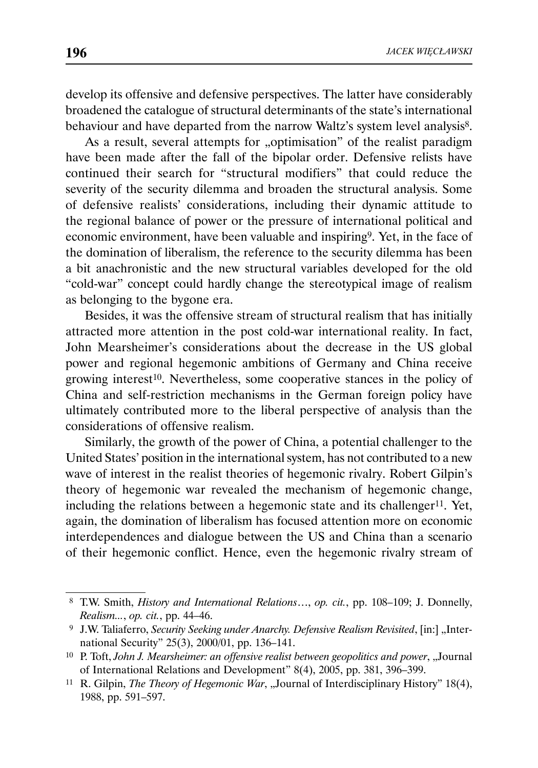develop its offensive and defensive perspectives. The latter have considerably broadened the catalogue of structural determinants of the state's international behaviour and have departed from the narrow Waltz's system level analysis<sup>8</sup>.

As a result, several attempts for "optimisation" of the realist paradigm have been made after the fall of the bipolar order. Defensive relists have continued their search for "structural modifiers" that could reduce the severity of the security dilemma and broaden the structural analysis. Some of defensive realists' considerations, including their dynamic attitude to the regional balance of power or the pressure of international political and economic environment, have been valuable and inspiring9. Yet, in the face of the domination of liberalism, the reference to the security dilemma has been a bit anachronistic and the new structural variables developed for the old "cold-war" concept could hardly change the stereotypical image of realism as belonging to the bygone era.

Besides, it was the offensive stream of structural realism that has initially attracted more attention in the post cold-war international reality. In fact, John Mearsheimer's considerations about the decrease in the US global power and regional hegemonic ambitions of Germany and China receive growing interest<sup>10</sup>. Nevertheless, some cooperative stances in the policy of China and self-restriction mechanisms in the German foreign policy have ultimately contributed more to the liberal perspective of analysis than the considerations of offensive realism.

Similarly, the growth of the power of China, a potential challenger to the United States' position in the international system, has not contributed to a new wave of interest in the realist theories of hegemonic rivalry. Robert Gilpin's theory of hegemonic war revealed the mechanism of hegemonic change, including the relations between a hegemonic state and its challenger<sup>11</sup>. Yet, again, the domination of liberalism has focused attention more on economic interdependences and dialogue between the US and China than a scenario of their hegemonic conflict. Hence, even the hegemonic rivalry stream of

 <sup>8</sup> T.W. Smith, *History and International Relations*…, *op. cit.*, pp. 108–109; J. Donnelly, *Realism...*, *op. cit.*, pp. 44–46.

<sup>&</sup>lt;sup>9</sup> J.W. Taliaferro, *Security Seeking under Anarchy. Defensive Realism Revisited*, [in:] "International Security" 25(3), 2000/01, pp. 136–141.

<sup>&</sup>lt;sup>10</sup> P. Toft, *John J. Mearsheimer: an offensive realist between geopolitics and power*, "Journal of International Relations and Development" 8(4), 2005, pp. 381, 396–399.

<sup>&</sup>lt;sup>11</sup> R. Gilpin, *The Theory of Hegemonic War*, "Journal of Interdisciplinary History" 18(4), 1988, pp. 591–597.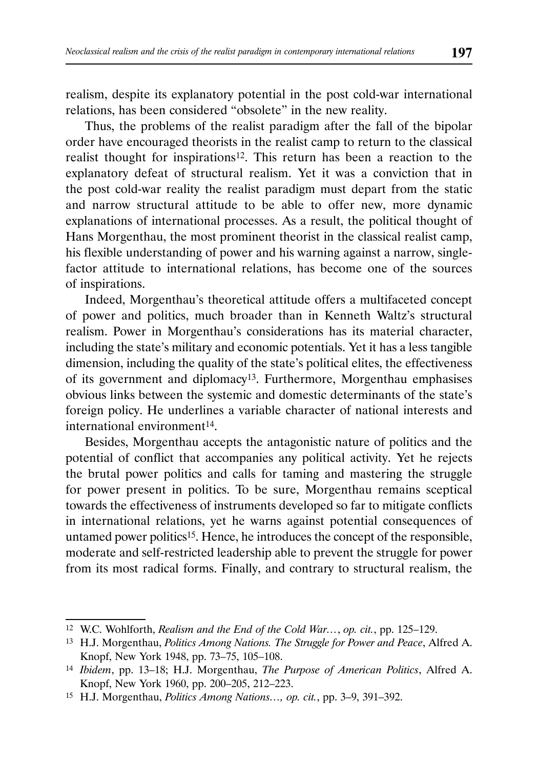realism, despite its explanatory potential in the post cold-war international relations, has been considered "obsolete" in the new reality.

Thus, the problems of the realist paradigm after the fall of the bipolar order have encouraged theorists in the realist camp to return to the classical realist thought for inspirations12. This return has been a reaction to the explanatory defeat of structural realism. Yet it was a conviction that in the post cold-war reality the realist paradigm must depart from the static and narrow structural attitude to be able to offer new, more dynamic explanations of international processes. As a result, the political thought of Hans Morgenthau, the most prominent theorist in the classical realist camp, his flexible understanding of power and his warning against a narrow, singlefactor attitude to international relations, has become one of the sources of inspirations.

Indeed, Morgenthau's theoretical attitude offers a multifaceted concept of power and politics, much broader than in Kenneth Waltz's structural realism. Power in Morgenthau's considerations has its material character, including the state's military and economic potentials. Yet it has a less tangible dimension, including the quality of the state's political elites, the effectiveness of its government and diplomacy13. Furthermore, Morgenthau emphasises obvious links between the systemic and domestic determinants of the state's foreign policy. He underlines a variable character of national interests and international environment14.

Besides, Morgenthau accepts the antagonistic nature of politics and the potential of conflict that accompanies any political activity. Yet he rejects the brutal power politics and calls for taming and mastering the struggle for power present in politics. To be sure, Morgenthau remains sceptical towards the effectiveness of instruments developed so far to mitigate conflicts in international relations, yet he warns against potential consequences of untamed power politics<sup>15</sup>. Hence, he introduces the concept of the responsible, moderate and self-restricted leadership able to prevent the struggle for power from its most radical forms. Finally, and contrary to structural realism, the

<sup>12</sup> W.C. Wohlforth, *Realism and the End of the Cold War…*, *op. cit.*, pp. 125–129.

<sup>13</sup> H.J. Morgenthau, *Politics Among Nations. The Struggle for Power and Peace*, Alfred A. Knopf, New York 1948, pp. 73–75, 105–108.

<sup>14</sup> *Ibidem*, pp. 13–18; H.J. Morgenthau, *The Purpose of American Politics*, Alfred A. Knopf, New York 1960, pp. 200–205, 212–223.

<sup>15</sup> H.J. Morgenthau, *Politics Among Nations…, op. cit.*, pp. 3–9, 391–392.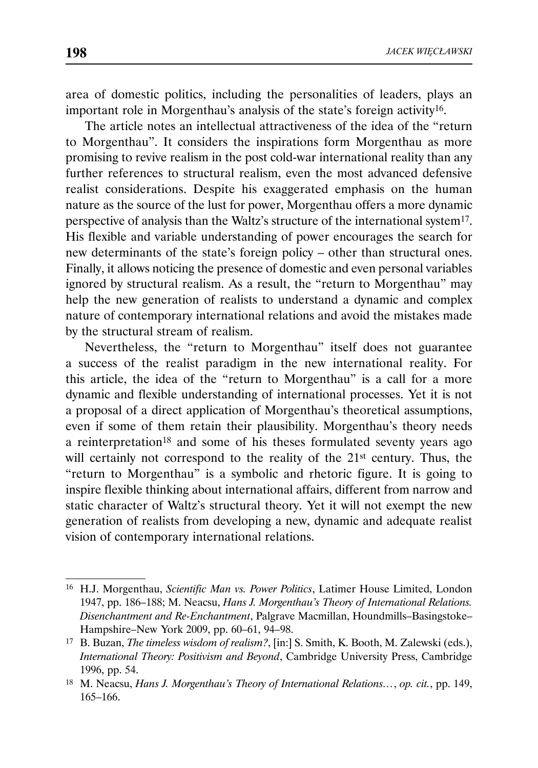area of domestic politics, including the personalities of leaders, plays an important role in Morgenthau's analysis of the state's foreign activity16.

The article notes an intellectual attractiveness of the idea of the "return to Morgenthau". It considers the inspirations form Morgenthau as more promising to revive realism in the post cold-war international reality than any further references to structural realism, even the most advanced defensive realist considerations. Despite his exaggerated emphasis on the human nature as the source of the lust for power, Morgenthau offers a more dynamic perspective of analysis than the Waltz's structure of the international system17. His flexible and variable understanding of power encourages the search for new determinants of the state's foreign policy – other than structural ones. Finally, it allows noticing the presence of domestic and even personal variables ignored by structural realism. As a result, the "return to Morgenthau" may help the new generation of realists to understand a dynamic and complex nature of contemporary international relations and avoid the mistakes made by the structural stream of realism.

Nevertheless, the "return to Morgenthau" itself does not guarantee a success of the realist paradigm in the new international reality. For this article, the idea of the "return to Morgenthau" is a call for a more dynamic and flexible understanding of international processes. Yet it is not a proposal of a direct application of Morgenthau's theoretical assumptions, even if some of them retain their plausibility. Morgenthau's theory needs a reinterpretation<sup>18</sup> and some of his theses formulated seventy years ago will certainly not correspond to the reality of the 21<sup>st</sup> century. Thus, the "return to Morgenthau" is a symbolic and rhetoric figure. It is going to inspire flexible thinking about international affairs, different from narrow and static character of Waltz's structural theory. Yet it will not exempt the new generation of realists from developing a new, dynamic and adequate realist vision of contemporary international relations.

<sup>16</sup> H.J. Morgenthau, *Scientific Man vs. Power Politics*, Latimer House Limited, London 1947, pp. 186–188; M. Neacsu, *Hans J. Morgenthau's Theory of International Relations. Disenchantment and Re-Enchantment*, Palgrave Macmillan, Houndmills–Basingstoke– Hampshire–New York 2009, pp. 60–61, 94–98.

<sup>17</sup> B. Buzan, *The timeless wisdom of realism?*, [in:] S. Smith, K. Booth, M. Zalewski (eds.), *International Theory: Positivism and Beyond*, Cambridge University Press, Cambridge 1996, pp. 54.

<sup>18</sup> M. Neacsu, *Hans J. Morgenthau's Theory of International Relations…*, *op. cit.*, pp. 149, 165–166.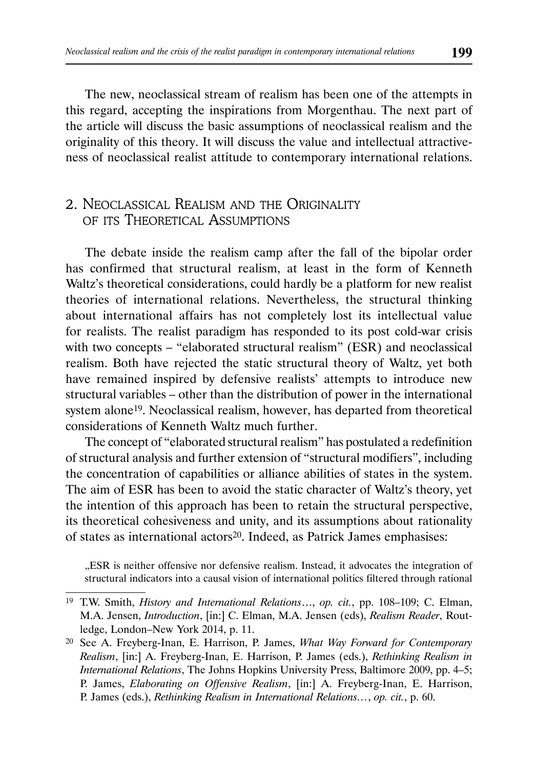The new, neoclassical stream of realism has been one of the attempts in this regard, accepting the inspirations from Morgenthau. The next part of the article will discuss the basic assumptions of neoclassical realism and the originality of this theory. It will discuss the value and intellectual attractiveness of neoclassical realist attitude to contemporary international relations.

## 2. NEOCLASSICAL REALISM AND THE ORIGINALITY OF ITS THEORETICAL ASSUMPTIONS

The debate inside the realism camp after the fall of the bipolar order has confirmed that structural realism, at least in the form of Kenneth Waltz's theoretical considerations, could hardly be a platform for new realist theories of international relations. Nevertheless, the structural thinking about international affairs has not completely lost its intellectual value for realists. The realist paradigm has responded to its post cold-war crisis with two concepts – "elaborated structural realism" (ESR) and neoclassical realism. Both have rejected the static structural theory of Waltz, yet both have remained inspired by defensive realists' attempts to introduce new structural variables – other than the distribution of power in the international system alone<sup>19</sup>. Neoclassical realism, however, has departed from theoretical considerations of Kenneth Waltz much further.

The concept of "elaborated structural realism" has postulated a redefinition of structural analysis and further extension of "structural modifiers", including the concentration of capabilities or alliance abilities of states in the system. The aim of ESR has been to avoid the static character of Waltz's theory, yet the intention of this approach has been to retain the structural perspective, its theoretical cohesiveness and unity, and its assumptions about rationality of states as international actors<sup>20</sup>. Indeed, as Patrick James emphasises:

"ESR is neither offensive nor defensive realism. Instead, it advocates the integration of structural indicators into a causal vision of international politics filtered through rational

<sup>19</sup> T.W. Smith, *History and International Relations*…, *op. cit.*, pp. 108–109; C. Elman, M.A. Jensen, *Introduction*, [in:] C. Elman, M.A. Jensen (eds), *Realism Reader*, Routledge, London–New York 2014, p. 11.

<sup>20</sup> See A. Freyberg-Inan, E. Harrison, P. James, *What Way Forward for Contemporary Realism*, [in:] A. Freyberg-Inan, E. Harrison, P. James (eds.), *Rethinking Realism in International Relations*, The Johns Hopkins University Press, Baltimore 2009, pp. 4–5; P. James, *Elaborating on Offensive Realism*, [in:] A. Freyberg-Inan, E. Harrison, P. James (eds.), *Rethinking Realism in International Relations…*, *op. cit.*, p. 60.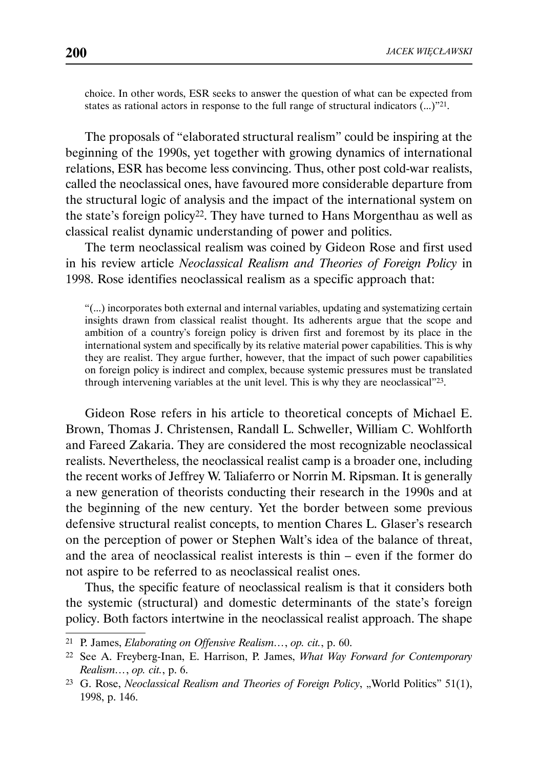choice. In other words, ESR seeks to answer the question of what can be expected from states as rational actors in response to the full range of structural indicators  $(\ldots)^{221}$ .

The proposals of "elaborated structural realism" could be inspiring at the beginning of the 1990s, yet together with growing dynamics of international relations, ESR has become less convincing. Thus, other post cold-war realists, called the neoclassical ones, have favoured more considerable departure from the structural logic of analysis and the impact of the international system on the state's foreign policy22. They have turned to Hans Morgenthau as well as classical realist dynamic understanding of power and politics.

The term neoclassical realism was coined by Gideon Rose and first used in his review article *Neoclassical Realism and Theories of Foreign Policy* in 1998. Rose identifies neoclassical realism as a specific approach that:

"(...) incorporates both external and internal variables, updating and systematizing certain insights drawn from classical realist thought. Its adherents argue that the scope and ambition of a country's foreign policy is driven first and foremost by its place in the international system and specifically by its relative material power capabilities. This is why they are realist. They argue further, however, that the impact of such power capabilities on foreign policy is indirect and complex, because systemic pressures must be translated through intervening variables at the unit level. This is why they are neoclassical"23.

Gideon Rose refers in his article to theoretical concepts of Michael E. Brown, Thomas J. Christensen, Randall L. Schweller, William C. Wohlforth and Fareed Zakaria. They are considered the most recognizable neoclassical realists. Nevertheless, the neoclassical realist camp is a broader one, including the recent works of Jeffrey W. Taliaferro or Norrin M. Ripsman. It is generally a new generation of theorists conducting their research in the 1990s and at the beginning of the new century. Yet the border between some previous defensive structural realist concepts, to mention Chares L. Glaser's research on the perception of power or Stephen Walt's idea of the balance of threat, and the area of neoclassical realist interests is thin – even if the former do not aspire to be referred to as neoclassical realist ones.

Thus, the specific feature of neoclassical realism is that it considers both the systemic (structural) and domestic determinants of the state's foreign policy. Both factors intertwine in the neoclassical realist approach. The shape

<sup>21</sup> P. James, *Elaborating on Offensive Realism…*, *op. cit.*, p. 60.

<sup>22</sup> See A. Freyberg-Inan, E. Harrison, P. James, *What Way Forward for Contemporary Realism…*, *op. cit.*, p. 6.

<sup>&</sup>lt;sup>23</sup> G. Rose, *Neoclassical Realism and Theories of Foreign Policy*, "World Politics" 51(1), 1998, p. 146.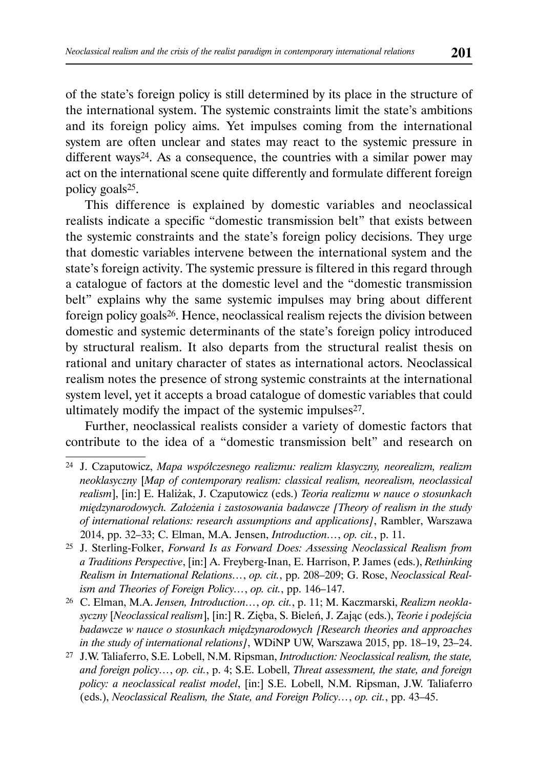of the state's foreign policy is still determined by its place in the structure of the international system. The systemic constraints limit the state's ambitions and its foreign policy aims. Yet impulses coming from the international system are often unclear and states may react to the systemic pressure in different ways<sup>24</sup>. As a consequence, the countries with a similar power may act on the international scene quite differently and formulate different foreign policy goals25.

This difference is explained by domestic variables and neoclassical realists indicate a specific "domestic transmission belt" that exists between the systemic constraints and the state's foreign policy decisions. They urge that domestic variables intervene between the international system and the state's foreign activity. The systemic pressure is filtered in this regard through a catalogue of factors at the domestic level and the "domestic transmission belt" explains why the same systemic impulses may bring about different foreign policy goals26. Hence, neoclassical realism rejects the division between domestic and systemic determinants of the state's foreign policy introduced by structural realism. It also departs from the structural realist thesis on rational and unitary character of states as international actors. Neoclassical realism notes the presence of strong systemic constraints at the international system level, yet it accepts a broad catalogue of domestic variables that could ultimately modify the impact of the systemic impulses<sup>27</sup>.

Further, neoclassical realists consider a variety of domestic factors that contribute to the idea of a "domestic transmission belt" and research on

26 C. Elman, M.A. *Jensen, Introduction…*, *op. cit.*, p. 11; M. Kaczmarski, *Realizm neoklasyczny* [*Neoclassical realism*], [in:] R. Zięba, S. Bieleń, J. Zając (eds.), *Teorie i podejścia badawcze w nauce o stosunkach międzynarodowych [Research theories and approaches in the study of international relations]*, WDiNP UW, Warszawa 2015, pp. 18–19, 23–24.

<sup>24</sup> J. Czaputowicz, *Mapa współczesnego realizmu: realizm klasyczny, neorealizm, realizm neoklasyczny* [*Map of contemporary realism: classical realism, neorealism, neoclassical realism*], [in:] E. Haliżak, J. Czaputowicz (eds.) *Teoria realizmu w nauce o stosunkach międzynarodowych. Założenia i zastosowania badawcze [Theory of realism in the study of international relations: research assumptions and applications]*, Rambler, Warszawa 2014, pp. 32–33; C. Elman, M.A. Jensen, *Introduction…*, *op. cit.*, p. 11.

<sup>25</sup> J. Sterling-Folker, *Forward Is as Forward Does: Assessing Neoclassical Realism from a Traditions Perspective*, [in:] A. Freyberg-Inan, E. Harrison, P. James (eds.), *Rethinking Realism in International Relations…*, *op. cit.*, pp. 208–209; G. Rose, *Neoclassical Realism and Theories of Foreign Policy…*, *op. cit.*, pp. 146–147.

<sup>27</sup> J.W. Taliaferro, S.E. Lobell, N.M. Ripsman, *Introduction: Neoclassical realism, the state, and foreign policy…*, *op. cit.*, p. 4; S.E. Lobell, *Threat assessment, the state, and foreign policy: a neoclassical realist model*, [in:] S.E. Lobell, N.M. Ripsman, J.W. Taliaferro (eds.), *Neoclassical Realism, the State, and Foreign Policy…*, *op. cit.*, pp. 43–45.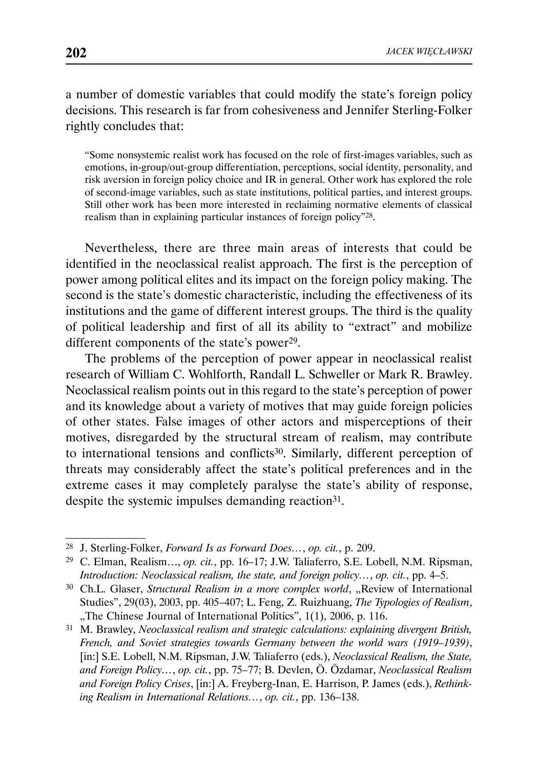a number of domestic variables that could modify the state's foreign policy decisions. This research is far from cohesiveness and Jennifer Sterling-Folker rightly concludes that:

"Some nonsystemic realist work has focused on the role of first-images variables, such as emotions, in-group/out-group differentiation, perceptions, social identity, personality, and risk aversion in foreign policy choice and IR in general. Other work has explored the role of second-image variables, such as state institutions, political parties, and interest groups. Still other work has been more interested in reclaiming normative elements of classical realism than in explaining particular instances of foreign policy"28.

Nevertheless, there are three main areas of interests that could be identified in the neoclassical realist approach. The first is the perception of power among political elites and its impact on the foreign policy making. The second is the state's domestic characteristic, including the effectiveness of its institutions and the game of different interest groups. The third is the quality of political leadership and first of all its ability to "extract" and mobilize different components of the state's power<sup>29</sup>.

The problems of the perception of power appear in neoclassical realist research of William C. Wohlforth, Randall L. Schweller or Mark R. Brawley. Neoclassical realism points out in this regard to the state's perception of power and its knowledge about a variety of motives that may guide foreign policies of other states. False images of other actors and misperceptions of their motives, disregarded by the structural stream of realism, may contribute to international tensions and conflicts30. Similarly, different perception of threats may considerably affect the state's political preferences and in the extreme cases it may completely paralyse the state's ability of response, despite the systemic impulses demanding reaction<sup>31</sup>.

<sup>28</sup> J. Sterling-Folker, *Forward Is as Forward Does…*, *op. cit.*, p. 209.

<sup>29</sup> C. Elman, Realism…, *op. cit.*, pp. 16–17; J.W. Taliaferro, S.E. Lobell, N.M. Ripsman, *Introduction: Neoclassical realism, the state, and foreign policy…*, *op. cit.*, pp. 4–5.

<sup>&</sup>lt;sup>30</sup> Ch.L. Glaser, *Structural Realism in a more complex world*, "Review of International Studies", 29(03), 2003, pp. 405–407; L. Feng, Z. Ruizhuang, *The Typologies of Realism*, "The Chinese Journal of International Politics", 1(1), 2006, p. 116.

<sup>31</sup> M. Brawley, *Neoclassical realism and strategic calculations: explaining divergent British, French, and Soviet strategies towards Germany between the world wars (1919–1939)*, [in:] S.E. Lobell, N.M. Ripsman, J.W. Taliaferro (eds.), *Neoclassical Realism, the State, and Foreign Policy…*, *op. cit.*, pp. 75–77; B. Devlen, Ö. Özdamar, *Neoclassical Realism and Foreign Policy Crises*, [in:] A. Freyberg-Inan, E. Harrison, P. James (eds.), *Rethinking Realism in International Relations…*, *op. cit.*, pp. 136–138.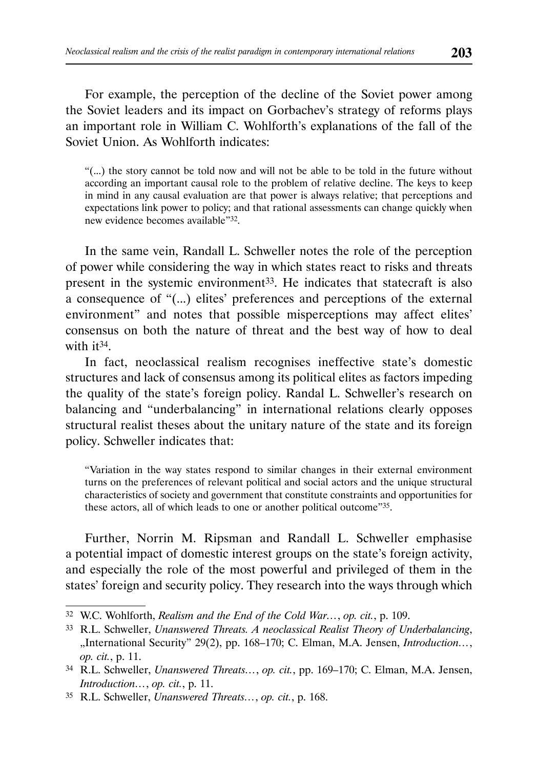For example, the perception of the decline of the Soviet power among the Soviet leaders and its impact on Gorbachev's strategy of reforms plays an important role in William C. Wohlforth's explanations of the fall of the Soviet Union. As Wohlforth indicates:

"(...) the story cannot be told now and will not be able to be told in the future without according an important causal role to the problem of relative decline. The keys to keep in mind in any causal evaluation are that power is always relative; that perceptions and expectations link power to policy; and that rational assessments can change quickly when new evidence becomes available"32.

In the same vein, Randall L. Schweller notes the role of the perception of power while considering the way in which states react to risks and threats present in the systemic environment<sup>33</sup>. He indicates that statecraft is also a consequence of "(...) elites' preferences and perceptions of the external environment" and notes that possible misperceptions may affect elites' consensus on both the nature of threat and the best way of how to deal with it<sup>34</sup>

In fact, neoclassical realism recognises ineffective state's domestic structures and lack of consensus among its political elites as factors impeding the quality of the state's foreign policy. Randal L. Schweller's research on balancing and "underbalancing" in international relations clearly opposes structural realist theses about the unitary nature of the state and its foreign policy. Schweller indicates that:

"Variation in the way states respond to similar changes in their external environment turns on the preferences of relevant political and social actors and the unique structural characteristics of society and government that constitute constraints and opportunities for these actors, all of which leads to one or another political outcome"35.

Further, Norrin M. Ripsman and Randall L. Schweller emphasise a potential impact of domestic interest groups on the state's foreign activity, and especially the role of the most powerful and privileged of them in the states' foreign and security policy. They research into the ways through which

<sup>32</sup> W.C. Wohlforth, *Realism and the End of the Cold War…*, *op. cit.*, p. 109.

<sup>33</sup> R.L. Schweller, *Unanswered Threats. A neoclassical Realist Theory of Underbalancing*, "International Security" 29(2), pp. 168–170; C. Elman, M.A. Jensen, *Introduction…*, *op. cit.*, p. 11.

<sup>34</sup> R.L. Schweller, *Unanswered Threats…*, *op. cit.*, pp. 169–170; C. Elman, M.A. Jensen, *Introduction…*, *op. cit.*, p. 11.

<sup>35</sup> R.L. Schweller, *Unanswered Threats…*, *op. cit.*, p. 168.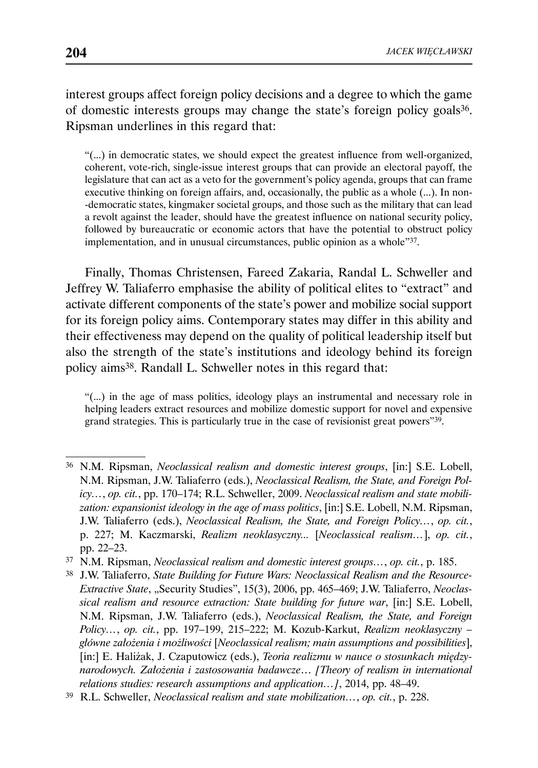interest groups affect foreign policy decisions and a degree to which the game of domestic interests groups may change the state's foreign policy goals36. Ripsman underlines in this regard that:

"(...) in democratic states, we should expect the greatest influence from well-organized, coherent, vote-rich, single-issue interest groups that can provide an electoral payoff, the legislature that can act as a veto for the government's policy agenda, groups that can frame executive thinking on foreign affairs, and, occasionally, the public as a whole (...). In non- -democratic states, kingmaker societal groups, and those such as the military that can lead a revolt against the leader, should have the greatest influence on national security policy, followed by bureaucratic or economic actors that have the potential to obstruct policy implementation, and in unusual circumstances, public opinion as a whole"37.

Finally, Thomas Christensen, Fareed Zakaria, Randal L. Schweller and Jeffrey W. Taliaferro emphasise the ability of political elites to "extract" and activate different components of the state's power and mobilize social support for its foreign policy aims. Contemporary states may differ in this ability and their effectiveness may depend on the quality of political leadership itself but also the strength of the state's institutions and ideology behind its foreign policy aims38. Randall L. Schweller notes in this regard that:

"(...) in the age of mass politics, ideology plays an instrumental and necessary role in helping leaders extract resources and mobilize domestic support for novel and expensive grand strategies. This is particularly true in the case of revisionist great powers"39.

<sup>36</sup> N.M. Ripsman, *Neoclassical realism and domestic interest groups*, [in:] S.E. Lobell, N.M. Ripsman, J.W. Taliaferro (eds.), *Neoclassical Realism, the State, and Foreign Policy…*, *op. cit.*, pp. 170–174; R.L. Schweller, 2009. *Neoclassical realism and state mobilization: expansionist ideology in the age of mass politics*, [in:] S.E. Lobell, N.M. Ripsman, J.W. Taliaferro (eds.), *Neoclassical Realism, the State, and Foreign Policy…*, *op. cit.*, p. 227; M. Kaczmarski, *Realizm neoklasyczny...* [*Neoclassical realism…*], *op. cit.*, pp. 22–23.

<sup>37</sup> N.M. Ripsman, *Neoclassical realism and domestic interest groups…*, *op. cit.*, p. 185.

<sup>38</sup> J.W. Taliaferro, *State Building for Future Wars: Neoclassical Realism and the Resource-*Extractive State, "Security Studies", 15(3), 2006, pp. 465-469; J.W. Taliaferro, *Neoclassical realism and resource extraction: State building for future war*, [in:] S.E. Lobell, N.M. Ripsman, J.W. Taliaferro (eds.), *Neoclassical Realism, the State, and Foreign Policy…*, *op. cit.*, pp. 197–199, 215–222; M. Kozub-Karkut, *Realizm neoklasyczny – główne założenia i możliwości* [*Neoclassical realism; main assumptions and possibilities*], [in:] E. Haliżak, J. Czaputowicz (eds.), *Teoria realizmu w nauce o stosunkach międzynarodowych. Założenia i zastosowania badawcze*… *[Theory of realism in international relations studies: research assumptions and application…]*, 2014, pp. 48–49.

<sup>39</sup> R.L. Schweller, *Neoclassical realism and state mobilization…*, *op. cit.*, p. 228.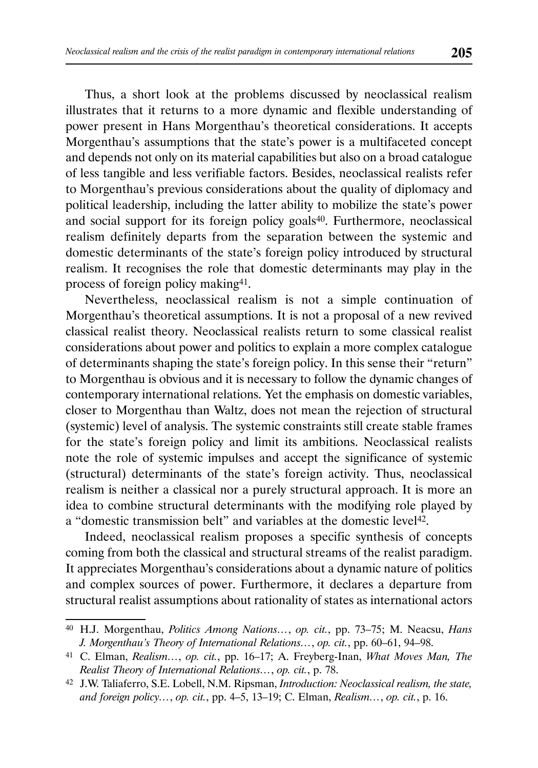Thus, a short look at the problems discussed by neoclassical realism illustrates that it returns to a more dynamic and flexible understanding of power present in Hans Morgenthau's theoretical considerations. It accepts Morgenthau's assumptions that the state's power is a multifaceted concept and depends not only on its material capabilities but also on a broad catalogue of less tangible and less verifiable factors. Besides, neoclassical realists refer to Morgenthau's previous considerations about the quality of diplomacy and political leadership, including the latter ability to mobilize the state's power and social support for its foreign policy goals<sup>40</sup>. Furthermore, neoclassical realism definitely departs from the separation between the systemic and domestic determinants of the state's foreign policy introduced by structural realism. It recognises the role that domestic determinants may play in the process of foreign policy making41.

Nevertheless, neoclassical realism is not a simple continuation of Morgenthau's theoretical assumptions. It is not a proposal of a new revived classical realist theory. Neoclassical realists return to some classical realist considerations about power and politics to explain a more complex catalogue of determinants shaping the state's foreign policy. In this sense their "return" to Morgenthau is obvious and it is necessary to follow the dynamic changes of contemporary international relations. Yet the emphasis on domestic variables, closer to Morgenthau than Waltz, does not mean the rejection of structural (systemic) level of analysis. The systemic constraints still create stable frames for the state's foreign policy and limit its ambitions. Neoclassical realists note the role of systemic impulses and accept the significance of systemic (structural) determinants of the state's foreign activity. Thus, neoclassical realism is neither a classical nor a purely structural approach. It is more an idea to combine structural determinants with the modifying role played by a "domestic transmission belt" and variables at the domestic level<sup>42</sup>.

Indeed, neoclassical realism proposes a specific synthesis of concepts coming from both the classical and structural streams of the realist paradigm. It appreciates Morgenthau's considerations about a dynamic nature of politics and complex sources of power. Furthermore, it declares a departure from structural realist assumptions about rationality of states as international actors

<sup>40</sup> H.J. Morgenthau, *Politics Among Nations…*, *op. cit.*, pp. 73–75; M. Neacsu, *Hans J. Morgenthau's Theory of International Relations…*, *op. cit.*, pp. 60–61, 94–98.

<sup>41</sup> C. Elman, *Realism…*, *op. cit.*, pp. 16–17; A. Freyberg-Inan, *What Moves Man, The Realist Theory of International Relations…*, *op. cit.*, p. 78.

<sup>42</sup> J.W. Taliaferro, S.E. Lobell, N.M. Ripsman, *Introduction: Neoclassical realism, the state, and foreign policy…*, *op. cit.*, pp. 4–5, 13–19; C. Elman, *Realism…*, *op. cit.*, p. 16.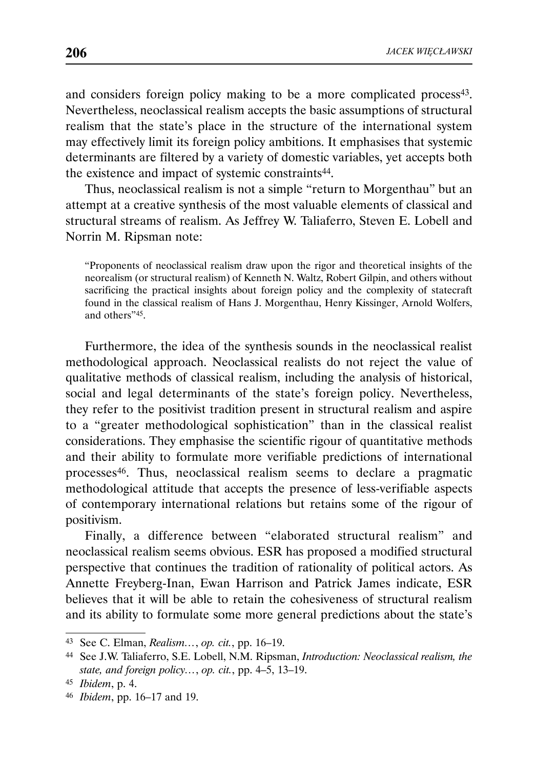and considers foreign policy making to be a more complicated process<sup>43</sup>. Nevertheless, neoclassical realism accepts the basic assumptions of structural realism that the state's place in the structure of the international system may effectively limit its foreign policy ambitions. It emphasises that systemic determinants are filtered by a variety of domestic variables, yet accepts both the existence and impact of systemic constraints<sup>44</sup>.

Thus, neoclassical realism is not a simple "return to Morgenthau" but an attempt at a creative synthesis of the most valuable elements of classical and structural streams of realism. As Jeffrey W. Taliaferro, Steven E. Lobell and Norrin M. Ripsman note:

"Proponents of neoclassical realism draw upon the rigor and theoretical insights of the neorealism (or structural realism) of Kenneth N. Waltz, Robert Gilpin, and others without sacrificing the practical insights about foreign policy and the complexity of statecraft found in the classical realism of Hans J. Morgenthau, Henry Kissinger, Arnold Wolfers, and others"45.

Furthermore, the idea of the synthesis sounds in the neoclassical realist methodological approach. Neoclassical realists do not reject the value of qualitative methods of classical realism, including the analysis of historical, social and legal determinants of the state's foreign policy. Nevertheless, they refer to the positivist tradition present in structural realism and aspire to a "greater methodological sophistication" than in the classical realist considerations. They emphasise the scientific rigour of quantitative methods and their ability to formulate more verifiable predictions of international processes46. Thus, neoclassical realism seems to declare a pragmatic methodological attitude that accepts the presence of less-verifiable aspects of contemporary international relations but retains some of the rigour of positivism.

Finally, a difference between "elaborated structural realism" and neoclassical realism seems obvious. ESR has proposed a modified structural perspective that continues the tradition of rationality of political actors. As Annette Freyberg-Inan, Ewan Harrison and Patrick James indicate, ESR believes that it will be able to retain the cohesiveness of structural realism and its ability to formulate some more general predictions about the state's

<sup>43</sup> See C. Elman, *Realism…*, *op. cit.*, pp. 16–19.

<sup>44</sup> See J.W. Taliaferro, S.E. Lobell, N.M. Ripsman, *Introduction: Neoclassical realism, the state, and foreign policy…*, *op. cit.*, pp. 4–5, 13–19.

<sup>45</sup> *Ibidem*, p. 4.

<sup>46</sup> *Ibidem*, pp. 16–17 and 19.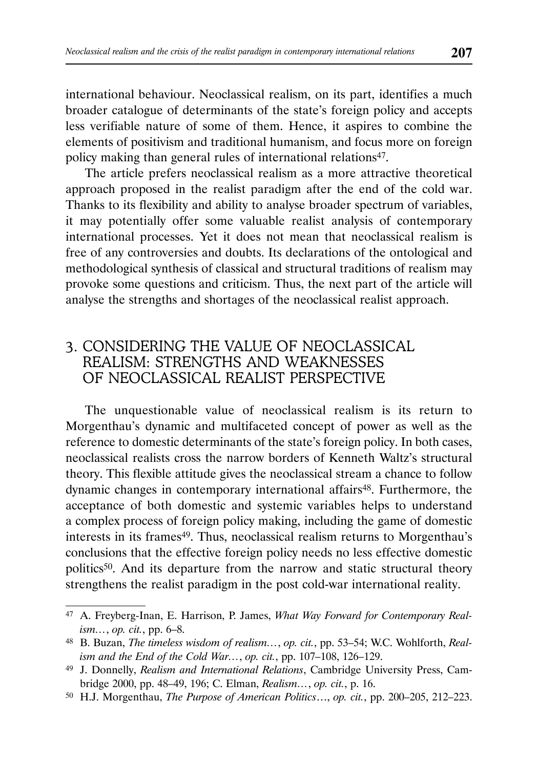international behaviour. Neoclassical realism, on its part, identifies a much broader catalogue of determinants of the state's foreign policy and accepts less verifiable nature of some of them. Hence, it aspires to combine the elements of positivism and traditional humanism, and focus more on foreign policy making than general rules of international relations<sup>47</sup>.

The article prefers neoclassical realism as a more attractive theoretical approach proposed in the realist paradigm after the end of the cold war. Thanks to its flexibility and ability to analyse broader spectrum of variables, it may potentially offer some valuable realist analysis of contemporary international processes. Yet it does not mean that neoclassical realism is free of any controversies and doubts. Its declarations of the ontological and methodological synthesis of classical and structural traditions of realism may provoke some questions and criticism. Thus, the next part of the article will analyse the strengths and shortages of the neoclassical realist approach.

# 3. CONSIDERING THE VALUE OF NEOCLASSICAL REALISM: STRENGTHS AND WEAKNESSES OF NEOCLASSICAL REALIST PERSPECTIVE

The unquestionable value of neoclassical realism is its return to Morgenthau's dynamic and multifaceted concept of power as well as the reference to domestic determinants of the state's foreign policy. In both cases, neoclassical realists cross the narrow borders of Kenneth Waltz's structural theory. This flexible attitude gives the neoclassical stream a chance to follow dynamic changes in contemporary international affairs<sup>48</sup>. Furthermore, the acceptance of both domestic and systemic variables helps to understand a complex process of foreign policy making, including the game of domestic interests in its frames<sup>49</sup>. Thus, neoclassical realism returns to Morgenthau's conclusions that the effective foreign policy needs no less effective domestic politics50. And its departure from the narrow and static structural theory strengthens the realist paradigm in the post cold-war international reality.

<sup>47</sup> A. Freyberg-Inan, E. Harrison, P. James, *What Way Forward for Contemporary Realism…*, *op. cit.*, pp. 6–8.

<sup>48</sup> B. Buzan, *The timeless wisdom of realism…*, *op. cit.*, pp. 53–54; W.C. Wohlforth, *Realism and the End of the Cold War…*, *op. cit.*, pp. 107–108, 126–129.

<sup>49</sup> J. Donnelly, *Realism and International Relations*, Cambridge University Press, Cambridge 2000, pp. 48–49, 196; C. Elman, *Realism…*, *op. cit.*, p. 16.

<sup>50</sup> H.J. Morgenthau, *The Purpose of American Politics*…, *op. cit.*, pp. 200–205, 212–223.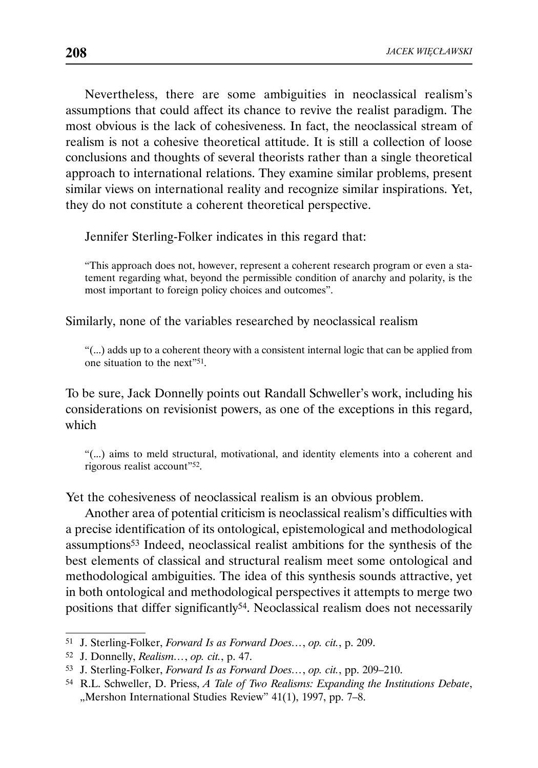Nevertheless, there are some ambiguities in neoclassical realism's assumptions that could affect its chance to revive the realist paradigm. The most obvious is the lack of cohesiveness. In fact, the neoclassical stream of realism is not a cohesive theoretical attitude. It is still a collection of loose conclusions and thoughts of several theorists rather than a single theoretical approach to international relations. They examine similar problems, present similar views on international reality and recognize similar inspirations. Yet, they do not constitute a coherent theoretical perspective.

Jennifer Sterling-Folker indicates in this regard that:

"This approach does not, however, represent a coherent research program or even a statement regarding what, beyond the permissible condition of anarchy and polarity, is the most important to foreign policy choices and outcomes".

Similarly, none of the variables researched by neoclassical realism

"(...) adds up to a coherent theory with a consistent internal logic that can be applied from one situation to the next"51.

To be sure, Jack Donnelly points out Randall Schweller's work, including his considerations on revisionist powers, as one of the exceptions in this regard, which

"(...) aims to meld structural, motivational, and identity elements into a coherent and rigorous realist account"52.

Yet the cohesiveness of neoclassical realism is an obvious problem.

Another area of potential criticism is neoclassical realism's difficulties with a precise identification of its ontological, epistemological and methodological assumptions53 Indeed, neoclassical realist ambitions for the synthesis of the best elements of classical and structural realism meet some ontological and methodological ambiguities. The idea of this synthesis sounds attractive, yet in both ontological and methodological perspectives it attempts to merge two positions that differ significantly<sup>54</sup>. Neoclassical realism does not necessarily

<sup>51</sup> J. Sterling-Folker, *Forward Is as Forward Does…*, *op. cit.*, p. 209.

<sup>52</sup> J. Donnelly, *Realism…*, *op. cit.*, p. 47.

<sup>53</sup> J. Sterling-Folker, *Forward Is as Forward Does…*, *op. cit.*, pp. 209–210.

<sup>54</sup> R.L. Schweller, D. Priess, *A Tale of Two Realisms: Expanding the Institutions Debate*, "Mershon International Studies Review" 41(1), 1997, pp. 7–8.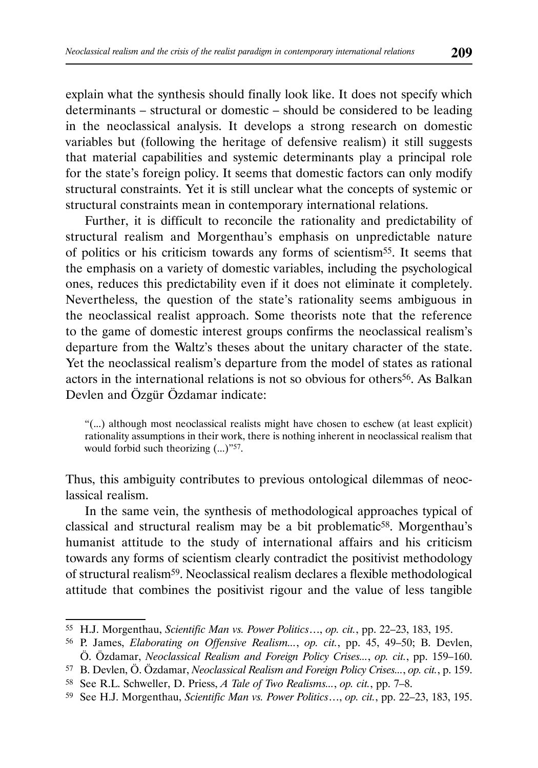explain what the synthesis should finally look like. It does not specify which determinants – structural or domestic – should be considered to be leading in the neoclassical analysis. It develops a strong research on domestic variables but (following the heritage of defensive realism) it still suggests that material capabilities and systemic determinants play a principal role for the state's foreign policy. It seems that domestic factors can only modify structural constraints. Yet it is still unclear what the concepts of systemic or structural constraints mean in contemporary international relations.

Further, it is difficult to reconcile the rationality and predictability of structural realism and Morgenthau's emphasis on unpredictable nature of politics or his criticism towards any forms of scientism55. It seems that the emphasis on a variety of domestic variables, including the psychological ones, reduces this predictability even if it does not eliminate it completely. Nevertheless, the question of the state's rationality seems ambiguous in the neoclassical realist approach. Some theorists note that the reference to the game of domestic interest groups confirms the neoclassical realism's departure from the Waltz's theses about the unitary character of the state. Yet the neoclassical realism's departure from the model of states as rational actors in the international relations is not so obvious for others56. As Balkan Devlen and Özgür Özdamar indicate:

"(...) although most neoclassical realists might have chosen to eschew (at least explicit) rationality assumptions in their work, there is nothing inherent in neoclassical realism that would forbid such theorizing  $(...)$ <sup>757</sup>.

Thus, this ambiguity contributes to previous ontological dilemmas of neoclassical realism.

In the same vein, the synthesis of methodological approaches typical of classical and structural realism may be a bit problematic<sup>58</sup>. Morgenthau's humanist attitude to the study of international affairs and his criticism towards any forms of scientism clearly contradict the positivist methodology of structural realism59. Neoclassical realism declares a flexible methodological attitude that combines the positivist rigour and the value of less tangible

<sup>55</sup> H.J. Morgenthau, *Scientific Man vs. Power Politics*…, *op. cit.*, pp. 22–23, 183, 195.

<sup>56</sup> P. James, *Elaborating on Offensive Realism...*, *op. cit.*, pp. 45, 49–50; B. Devlen, Ö. Özdamar, *Neoclassical Realism and Foreign Policy Crises...*, *op. cit.*, pp. 159–160.

<sup>57</sup> B. Devlen, Ö. Özdamar, *Neoclassical Realism and Foreign Policy Crises...*, *op. cit.*, p. 159.

<sup>58</sup> See R.L. Schweller, D. Priess, *A Tale of Two Realisms...*, *op. cit.*, pp. 7–8.

<sup>59</sup> See H.J. Morgenthau, *Scientific Man vs. Power Politics*…, *op. cit.*, pp. 22–23, 183, 195.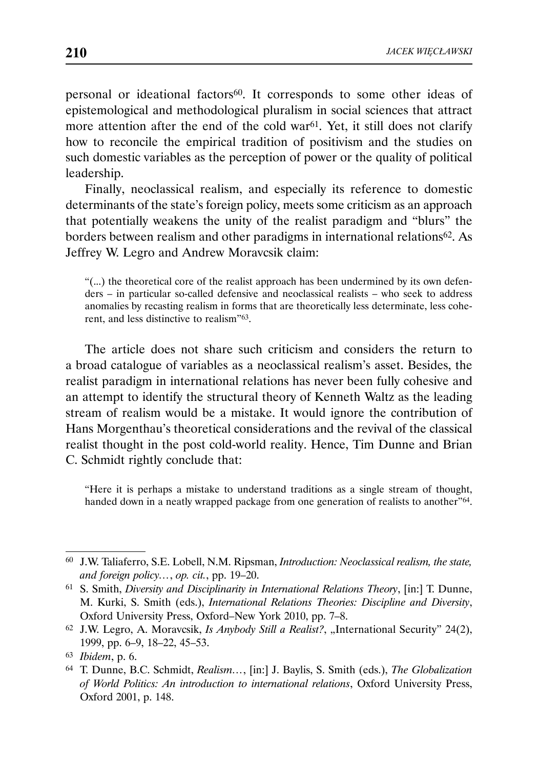personal or ideational factors<sup>60</sup>. It corresponds to some other ideas of epistemological and methodological pluralism in social sciences that attract more attention after the end of the cold war<sup>61</sup>. Yet, it still does not clarify how to reconcile the empirical tradition of positivism and the studies on such domestic variables as the perception of power or the quality of political leadership.

Finally, neoclassical realism, and especially its reference to domestic determinants of the state's foreign policy, meets some criticism as an approach that potentially weakens the unity of the realist paradigm and "blurs" the borders between realism and other paradigms in international relations62. As Jeffrey W. Legro and Andrew Moravcsik claim:

"(...) the theoretical core of the realist approach has been undermined by its own defenders – in particular so-called defensive and neoclassical realists – who seek to address anomalies by recasting realism in forms that are theoretically less determinate, less coherent, and less distinctive to realism"63.

The article does not share such criticism and considers the return to a broad catalogue of variables as a neoclassical realism's asset. Besides, the realist paradigm in international relations has never been fully cohesive and an attempt to identify the structural theory of Kenneth Waltz as the leading stream of realism would be a mistake. It would ignore the contribution of Hans Morgenthau's theoretical considerations and the revival of the classical realist thought in the post cold-world reality. Hence, Tim Dunne and Brian C. Schmidt rightly conclude that:

"Here it is perhaps a mistake to understand traditions as a single stream of thought, handed down in a neatly wrapped package from one generation of realists to another"<sup>64</sup>.

<sup>60</sup> J.W. Taliaferro, S.E. Lobell, N.M. Ripsman, *Introduction: Neoclassical realism, the state, and foreign policy…*, *op. cit.*, pp. 19–20.

<sup>61</sup> S. Smith, *Diversity and Disciplinarity in International Relations Theory*, [in:] T. Dunne, M. Kurki, S. Smith (eds.), *International Relations Theories: Discipline and Diversity*, Oxford University Press, Oxford–New York 2010, pp. 7–8.

<sup>&</sup>lt;sup>62</sup> J.W. Legro, A. Moravcsik, *Is Anybody Still a Realist?*, "International Security" 24(2), 1999, pp. 6–9, 18–22, 45–53.

<sup>63</sup> *Ibidem*, p. 6.

<sup>64</sup> T. Dunne, B.C. Schmidt, *Realism…*, [in:] J. Baylis, S. Smith (eds.), *The Globalization of World Politics: An introduction to international relations*, Oxford University Press, Oxford 2001, p. 148.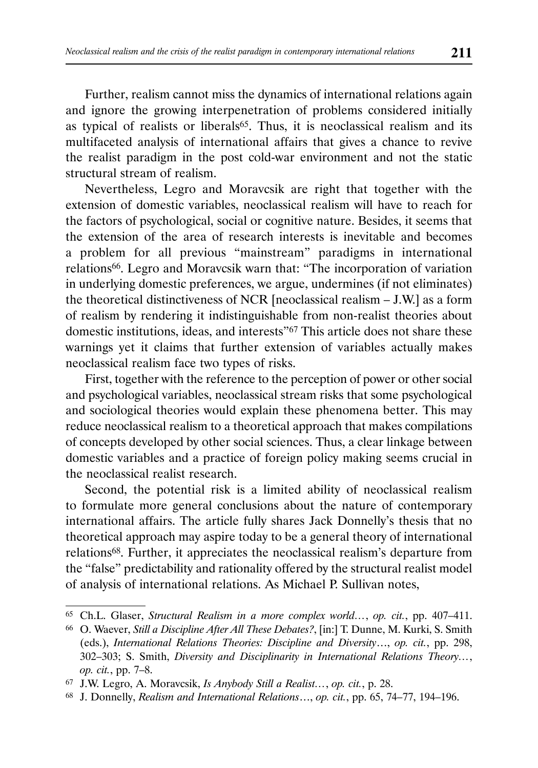Further, realism cannot miss the dynamics of international relations again and ignore the growing interpenetration of problems considered initially as typical of realists or liberals<sup>65</sup>. Thus, it is neoclassical realism and its multifaceted analysis of international affairs that gives a chance to revive the realist paradigm in the post cold-war environment and not the static structural stream of realism.

Nevertheless, Legro and Moravcsik are right that together with the extension of domestic variables, neoclassical realism will have to reach for the factors of psychological, social or cognitive nature. Besides, it seems that the extension of the area of research interests is inevitable and becomes a problem for all previous "mainstream" paradigms in international relations66. Legro and Moravcsik warn that: "The incorporation of variation in underlying domestic preferences, we argue, undermines (if not eliminates) the theoretical distinctiveness of NCR [neoclassical realism – J.W.] as a form of realism by rendering it indistinguishable from non-realist theories about domestic institutions, ideas, and interests"<sup>67</sup> This article does not share these warnings yet it claims that further extension of variables actually makes neoclassical realism face two types of risks.

First, together with the reference to the perception of power or other social and psychological variables, neoclassical stream risks that some psychological and sociological theories would explain these phenomena better. This may reduce neoclassical realism to a theoretical approach that makes compilations of concepts developed by other social sciences. Thus, a clear linkage between domestic variables and a practice of foreign policy making seems crucial in the neoclassical realist research.

Second, the potential risk is a limited ability of neoclassical realism to formulate more general conclusions about the nature of contemporary international affairs. The article fully shares Jack Donnelly's thesis that no theoretical approach may aspire today to be a general theory of international relations68. Further, it appreciates the neoclassical realism's departure from the "false" predictability and rationality offered by the structural realist model of analysis of international relations. As Michael P. Sullivan notes,

<sup>65</sup> Ch.L. Glaser, *Structural Realism in a more complex world…*, *op. cit.*, pp. 407–411.

<sup>66</sup> O. Waever, *Still a Discipline After All These Debates?*, [in:] T. Dunne, M. Kurki, S. Smith (eds.), *International Relations Theories: Discipline and Diversity*…, *op. cit.*, pp. 298, 302–303; S. Smith, *Diversity and Disciplinarity in International Relations Theory…*, *op. cit.*, pp. 7–8.

<sup>67</sup> J.W. Legro, A. Moravcsik, *Is Anybody Still a Realist…*, *op. cit.*, p. 28.

<sup>68</sup> J. Donnelly, *Realism and International Relations*…, *op. cit.*, pp. 65, 74–77, 194–196.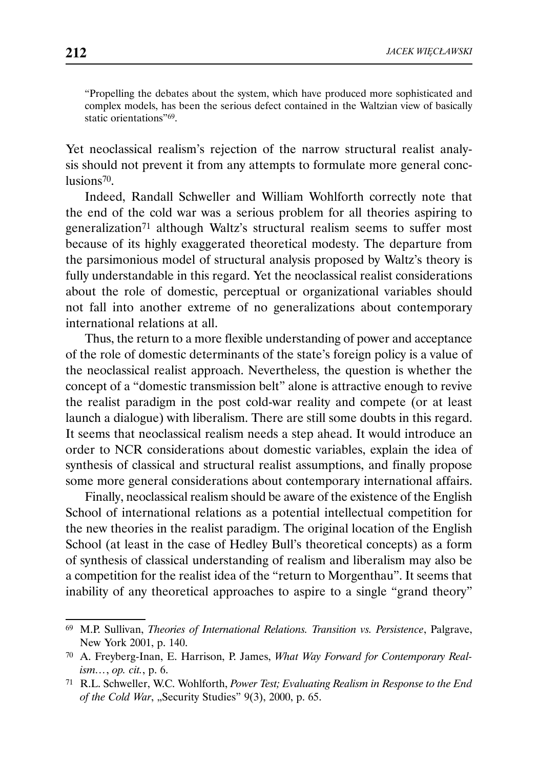"Propelling the debates about the system, which have produced more sophisticated and complex models, has been the serious defect contained in the Waltzian view of basically static orientations"69.

Yet neoclassical realism's rejection of the narrow structural realist analysis should not prevent it from any attempts to formulate more general conclusions70.

Indeed, Randall Schweller and William Wohlforth correctly note that the end of the cold war was a serious problem for all theories aspiring to generalization71 although Waltz's structural realism seems to suffer most because of its highly exaggerated theoretical modesty. The departure from the parsimonious model of structural analysis proposed by Waltz's theory is fully understandable in this regard. Yet the neoclassical realist considerations about the role of domestic, perceptual or organizational variables should not fall into another extreme of no generalizations about contemporary international relations at all.

Thus, the return to a more flexible understanding of power and acceptance of the role of domestic determinants of the state's foreign policy is a value of the neoclassical realist approach. Nevertheless, the question is whether the concept of a "domestic transmission belt" alone is attractive enough to revive the realist paradigm in the post cold-war reality and compete (or at least launch a dialogue) with liberalism. There are still some doubts in this regard. It seems that neoclassical realism needs a step ahead. It would introduce an order to NCR considerations about domestic variables, explain the idea of synthesis of classical and structural realist assumptions, and finally propose some more general considerations about contemporary international affairs.

Finally, neoclassical realism should be aware of the existence of the English School of international relations as a potential intellectual competition for the new theories in the realist paradigm. The original location of the English School (at least in the case of Hedley Bull's theoretical concepts) as a form of synthesis of classical understanding of realism and liberalism may also be a competition for the realist idea of the "return to Morgenthau". It seems that inability of any theoretical approaches to aspire to a single "grand theory"

<sup>69</sup> M.P. Sullivan, *Theories of International Relations. Transition vs. Persistence*, Palgrave, New York 2001, p. 140.

<sup>70</sup> A. Freyberg-Inan, E. Harrison, P. James, *What Way Forward for Contemporary Realism…*, *op. cit.*, p. 6.

<sup>71</sup> R.L. Schweller, W.C. Wohlforth, *Power Test; Evaluating Realism in Response to the End of the Cold War*, "Security Studies" 9(3), 2000, p. 65.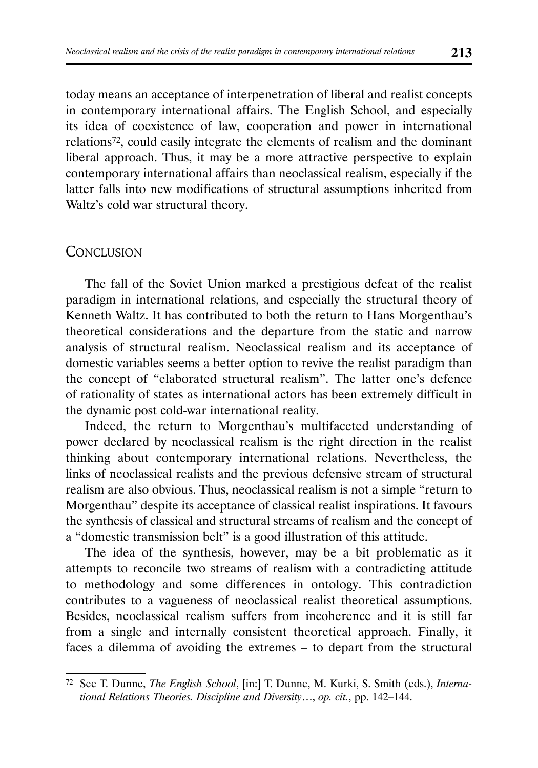today means an acceptance of interpenetration of liberal and realist concepts in contemporary international affairs. The English School, and especially its idea of coexistence of law, cooperation and power in international relations72, could easily integrate the elements of realism and the dominant liberal approach. Thus, it may be a more attractive perspective to explain contemporary international affairs than neoclassical realism, especially if the latter falls into new modifications of structural assumptions inherited from Waltz's cold war structural theory.

#### **CONCLUSION**

The fall of the Soviet Union marked a prestigious defeat of the realist paradigm in international relations, and especially the structural theory of Kenneth Waltz. It has contributed to both the return to Hans Morgenthau's theoretical considerations and the departure from the static and narrow analysis of structural realism. Neoclassical realism and its acceptance of domestic variables seems a better option to revive the realist paradigm than the concept of "elaborated structural realism". The latter one's defence of rationality of states as international actors has been extremely difficult in the dynamic post cold-war international reality.

Indeed, the return to Morgenthau's multifaceted understanding of power declared by neoclassical realism is the right direction in the realist thinking about contemporary international relations. Nevertheless, the links of neoclassical realists and the previous defensive stream of structural realism are also obvious. Thus, neoclassical realism is not a simple "return to Morgenthau" despite its acceptance of classical realist inspirations. It favours the synthesis of classical and structural streams of realism and the concept of a "domestic transmission belt" is a good illustration of this attitude.

The idea of the synthesis, however, may be a bit problematic as it attempts to reconcile two streams of realism with a contradicting attitude to methodology and some differences in ontology. This contradiction contributes to a vagueness of neoclassical realist theoretical assumptions. Besides, neoclassical realism suffers from incoherence and it is still far from a single and internally consistent theoretical approach. Finally, it faces a dilemma of avoiding the extremes – to depart from the structural

<sup>72</sup> See T. Dunne, *The English School*, [in:] T. Dunne, M. Kurki, S. Smith (eds.), *International Relations Theories. Discipline and Diversity*…, *op. cit.*, pp. 142–144.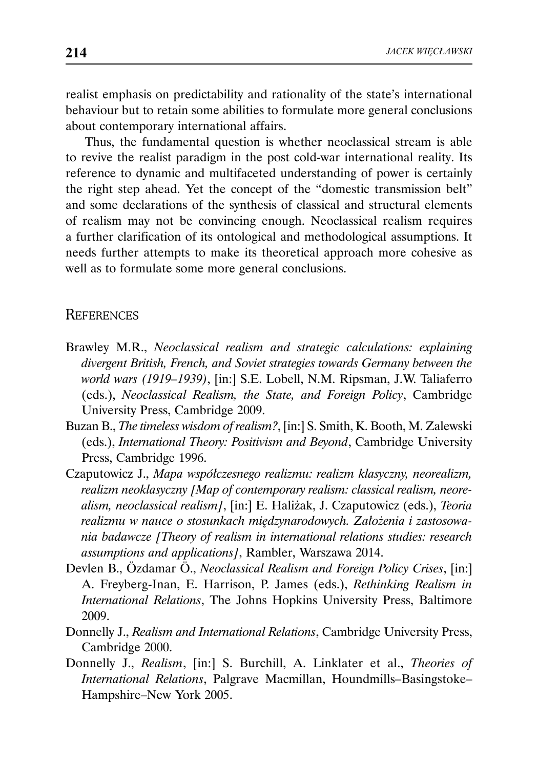realist emphasis on predictability and rationality of the state's international behaviour but to retain some abilities to formulate more general conclusions about contemporary international affairs.

Thus, the fundamental question is whether neoclassical stream is able to revive the realist paradigm in the post cold-war international reality. Its reference to dynamic and multifaceted understanding of power is certainly the right step ahead. Yet the concept of the "domestic transmission belt" and some declarations of the synthesis of classical and structural elements of realism may not be convincing enough. Neoclassical realism requires a further clarification of its ontological and methodological assumptions. It needs further attempts to make its theoretical approach more cohesive as well as to formulate some more general conclusions.

### **REFERENCES**

- Brawley M.R., *Neoclassical realism and strategic calculations: explaining divergent British, French, and Soviet strategies towards Germany between the world wars (1919–1939)*, [in:] S.E. Lobell, N.M. Ripsman, J.W. Taliaferro (eds.), *Neoclassical Realism, the State, and Foreign Policy*, Cambridge University Press, Cambridge 2009.
- Buzan B., *The timeless wisdom of realism?*, [in:] S. Smith, K. Booth, M. Zalewski (eds.), *International Theory: Positivism and Beyond*, Cambridge University Press, Cambridge 1996.
- Czaputowicz J., *Mapa współczesnego realizmu: realizm klasyczny, neorealizm, realizm neoklasyczny [Map of contemporary realism: classical realism, neorealism, neoclassical realism]*, [in:] E. Haliżak, J. Czaputowicz (eds.), *Teoria realizmu w nauce o stosunkach międzynarodowych. Założenia i zastosowania badawcze [Theory of realism in international relations studies: research assumptions and applications]*, Rambler, Warszawa 2014.
- Devlen B., Özdamar Ö., *Neoclassical Realism and Foreign Policy Crises*, [in:] A. Freyberg-Inan, E. Harrison, P. James (eds.), *Rethinking Realism in International Relations*, The Johns Hopkins University Press, Baltimore 2009.
- Donnelly J., *Realism and International Relations*, Cambridge University Press, Cambridge 2000.
- Donnelly J., *Realism*, [in:] S. Burchill, A. Linklater et al., *Theories of International Relations*, Palgrave Macmillan, Houndmills–Basingstoke– Hampshire–New York 2005.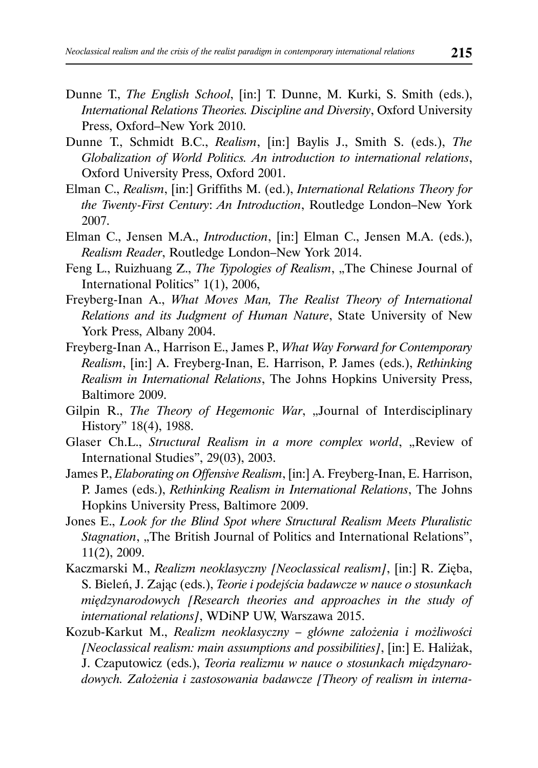- Dunne T., *The English School*, [in:] T. Dunne, M. Kurki, S. Smith (eds.), *International Relations Theories. Discipline and Diversity*, Oxford University Press, Oxford–New York 2010.
- Dunne T., Schmidt B.C., *Realism*, [in:] Baylis J., Smith S. (eds.), *The Globalization of World Politics. An introduction to international relations*, Oxford University Press, Oxford 2001.
- Elman C., *Realism*, [in:] Griffiths M. (ed.), *International Relations Theory for the Twenty-First Century*: *An Introduction*, Routledge London–New York 2007.
- Elman C., Jensen M.A., *Introduction*, [in:] Elman C., Jensen M.A. (eds.), *Realism Reader*, Routledge London–New York 2014.
- Feng L., Ruizhuang Z., *The Typologies of Realism*, "The Chinese Journal of International Politics" 1(1), 2006,
- Freyberg-Inan A., *What Moves Man, The Realist Theory of International Relations and its Judgment of Human Nature*, State University of New York Press, Albany 2004.
- Freyberg-Inan A., Harrison E., James P., *What Way Forward for Contemporary Realism*, [in:] A. Freyberg-Inan, E. Harrison, P. James (eds.), *Rethinking Realism in International Relations*, The Johns Hopkins University Press, Baltimore 2009.
- Gilpin R., *The Theory of Hegemonic War*, "Journal of Interdisciplinary History" 18(4), 1988.
- Glaser Ch.L., *Structural Realism in a more complex world*, "Review of International Studies", 29(03), 2003.
- James P., *Elaborating on Offensive Realism*, [in:] A. Freyberg-Inan, E. Harrison, P. James (eds.), *Rethinking Realism in International Relations*, The Johns Hopkins University Press, Baltimore 2009.
- Jones E., *Look for the Blind Spot where Structural Realism Meets Pluralistic Stagnation*, "The British Journal of Politics and International Relations", 11(2), 2009.
- Kaczmarski M., *Realizm neoklasyczny [Neoclassical realism]*, [in:] R. Zięba, S. Bieleń, J. Zając (eds.), *Teorie i podejścia badawcze w nauce o stosunkach międzynarodowych [Research theories and approaches in the study of international relations]*, WDiNP UW, Warszawa 2015.
- Kozub-Karkut M., *Realizm neoklasyczny główne założenia i możliwości [Neoclassical realism: main assumptions and possibilities]*, [in:] E. Haliżak, J. Czaputowicz (eds.), *Teoria realizmu w nauce o stosunkach międzynarodowych. Założenia i zastosowania badawcze [Theory of realism in interna-*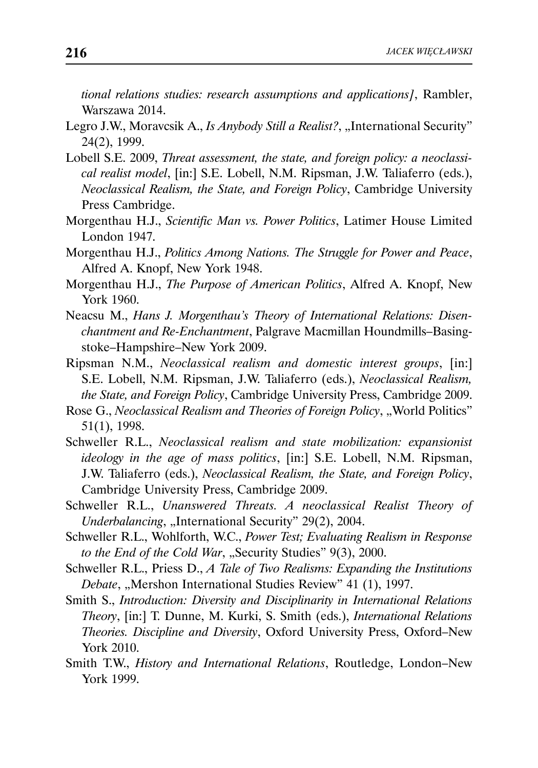*tional relations studies: research assumptions and applications]*, Rambler, Warszawa 2014.

- Legro J.W., Moravcsik A., *Is Anybody Still a Realist?*, "International Security" 24(2), 1999.
- Lobell S.E. 2009, *Threat assessment, the state, and foreign policy: a neoclassical realist model*, [in:] S.E. Lobell, N.M. Ripsman, J.W. Taliaferro (eds.), *Neoclassical Realism, the State, and Foreign Policy*, Cambridge University Press Cambridge.
- Morgenthau H.J., *Scientific Man vs. Power Politics*, Latimer House Limited London 1947.
- Morgenthau H.J., *Politics Among Nations. The Struggle for Power and Peace*, Alfred A. Knopf, New York 1948.
- Morgenthau H.J., *The Purpose of American Politics*, Alfred A. Knopf, New York 1960.
- Neacsu M., *Hans J. Morgenthau's Theory of International Relations: Disenchantment and Re-Enchantment*, Palgrave Macmillan Houndmills–Basingstoke–Hampshire–New York 2009.
- Ripsman N.M., *Neoclassical realism and domestic interest groups*, [in:] S.E. Lobell, N.M. Ripsman, J.W. Taliaferro (eds.), *Neoclassical Realism, the State, and Foreign Policy*, Cambridge University Press, Cambridge 2009.
- Rose G., *Neoclassical Realism and Theories of Foreign Policy*, "World Politics" 51(1), 1998.
- Schweller R.L., *Neoclassical realism and state mobilization: expansionist ideology in the age of mass politics*, [in:] S.E. Lobell, N.M. Ripsman, J.W. Taliaferro (eds.), *Neoclassical Realism, the State, and Foreign Policy*, Cambridge University Press, Cambridge 2009.
- Schweller R.L., *Unanswered Threats. A neoclassical Realist Theory of Underbalancing*, "International Security" 29(2), 2004.
- Schweller R.L., Wohlforth, W.C., *Power Test; Evaluating Realism in Response to the End of the Cold War*, "Security Studies" 9(3), 2000.
- Schweller R.L., Priess D., *A Tale of Two Realisms: Expanding the Institutions Debate*, "Mershon International Studies Review" 41 (1), 1997.
- Smith S., *Introduction: Diversity and Disciplinarity in International Relations Theory*, [in:] T. Dunne, M. Kurki, S. Smith (eds.), *International Relations Theories. Discipline and Diversity*, Oxford University Press, Oxford–New York 2010.
- Smith T.W., *History and International Relations*, Routledge, London–New York 1999.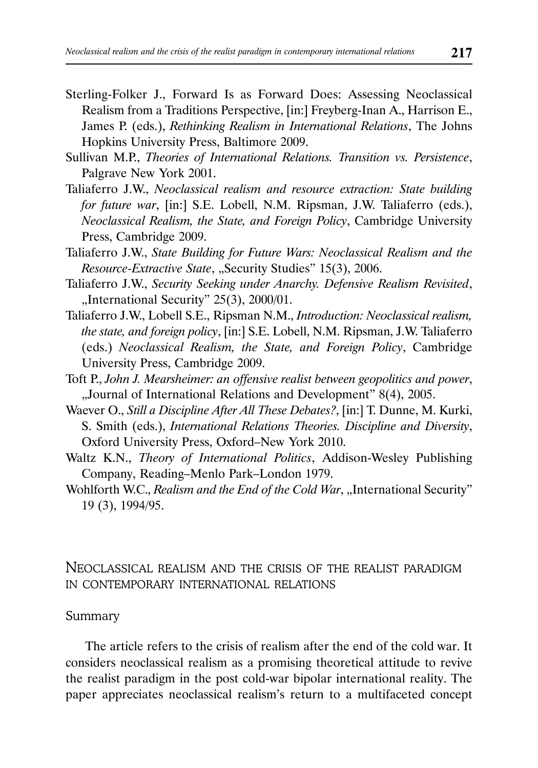- Sterling-Folker J., Forward Is as Forward Does: Assessing Neoclassical Realism from a Traditions Perspective, [in:] Freyberg-Inan A., Harrison E., James P. (eds.), *Rethinking Realism in International Relations*, The Johns Hopkins University Press, Baltimore 2009.
- Sullivan M.P., *Theories of International Relations. Transition vs. Persistence*, Palgrave New York 2001.
- Taliaferro J.W., *Neoclassical realism and resource extraction: State building for future war*, [in:] S.E. Lobell, N.M. Ripsman, J.W. Taliaferro (eds.), *Neoclassical Realism, the State, and Foreign Policy*, Cambridge University Press, Cambridge 2009.
- Taliaferro J.W., *State Building for Future Wars: Neoclassical Realism and the Resource-Extractive State*, "Security Studies" 15(3), 2006.
- Taliaferro J.W., *Security Seeking under Anarchy. Defensive Realism Revisited*, "International Security" 25(3), 2000/01.
- Taliaferro J.W., Lobell S.E., Ripsman N.M., *Introduction: Neoclassical realism, the state, and foreign policy*, [in:] S.E. Lobell, N.M. Ripsman, J.W. Taliaferro (eds.) *Neoclassical Realism, the State, and Foreign Policy*, Cambridge University Press, Cambridge 2009.
- Toft P., *John J. Mearsheimer: an offensive realist between geopolitics and power*, "Journal of International Relations and Development" 8(4), 2005.
- Waever O., *Still a Discipline After All These Debates?*, [in:] T. Dunne, M. Kurki, S. Smith (eds.), *International Relations Theories. Discipline and Diversity*, Oxford University Press, Oxford–New York 2010.
- Waltz K.N., *Theory of International Politics*, Addison-Wesley Publishing Company, Reading–Menlo Park–London 1979.
- Wohlforth W.C., *Realism and the End of the Cold War*, "International Security" 19 (3), 1994/95.

## NEOCLASSICAL REALISM AND THE CRISIS OF THE REALIST PARADIGM IN CONTEMPORARY INTERNATIONAL RELATIONS

#### Summary

The article refers to the crisis of realism after the end of the cold war. It considers neoclassical realism as a promising theoretical attitude to revive the realist paradigm in the post cold-war bipolar international reality. The paper appreciates neoclassical realism's return to a multifaceted concept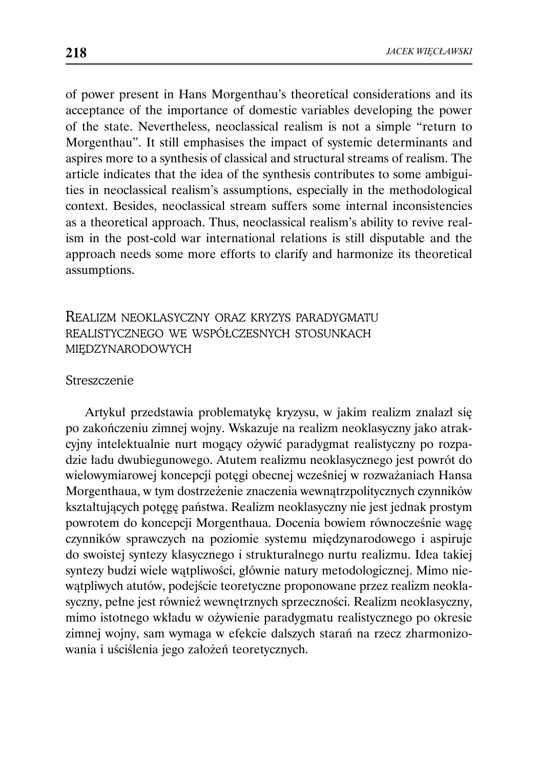of power present in Hans Morgenthau's theoretical considerations and its acceptance of the importance of domestic variables developing the power of the state. Nevertheless, neoclassical realism is not a simple "return to Morgenthau". It still emphasises the impact of systemic determinants and aspires more to a synthesis of classical and structural streams of realism. The article indicates that the idea of the synthesis contributes to some ambiguities in neoclassical realism's assumptions, especially in the methodological context. Besides, neoclassical stream suffers some internal inconsistencies as a theoretical approach. Thus, neoclassical realism's ability to revive realism in the post-cold war international relations is still disputable and the approach needs some more efforts to clarify and harmonize its theoretical assumptions.

## REALIZM NEOKLASYCZNY ORAZ KRYZYS PARADYGMATU REALISTYCZNEGO WE WSPÓŁCZESNYCH STOSUNKACH MIĘDZYNARODOWYCH

#### Streszczenie

Artykuł przedstawia problematykę kryzysu, w jakim realizm znalazł się po zakończeniu zimnej wojny. Wskazuje na realizm neoklasyczny jako atrakcyjny intelektualnie nurt mogący ożywić paradygmat realistyczny po rozpadzie ładu dwubiegunowego. Atutem realizmu neoklasycznego jest powrót do wielowymiarowej koncepcji potęgi obecnej wcześniej w rozważaniach Hansa Morgenthaua, w tym dostrzeżenie znaczenia wewnątrzpolitycznych czynników kształtujących potęgę państwa. Realizm neoklasyczny nie jest jednak prostym powrotem do koncepcji Morgenthaua. Docenia bowiem równocześnie wagę czynników sprawczych na poziomie systemu międzynarodowego i aspiruje do swoistej syntezy klasycznego i strukturalnego nurtu realizmu. Idea takiej syntezy budzi wiele wątpliwości, głównie natury metodologicznej. Mimo niewątpliwych atutów, podejście teoretyczne proponowane przez realizm neoklasyczny, pełne jest również wewnętrznych sprzeczności. Realizm neoklasyczny, mimo istotnego wkładu w ożywienie paradygmatu realistycznego po okresie zimnej wojny, sam wymaga w efekcie dalszych starań na rzecz zharmonizowania i uściślenia jego założeń teoretycznych.